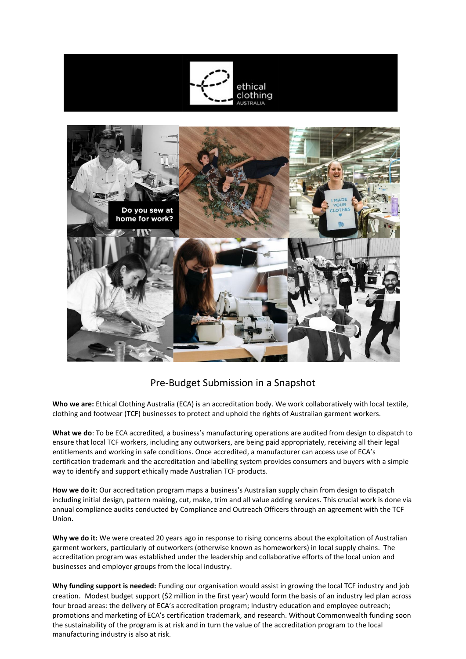



# Pre-Budget Submission in a Snapshot

**Who we are:** Ethical Clothing Australia (ECA) is an accreditation body. We work collaboratively with local textile, clothing and footwear (TCF) businesses to protect and uphold the rights of Australian garment workers.

**What we do**: To be ECA accredited, a business's manufacturing operations are audited from design to dispatch to ensure that local TCF workers, including any outworkers, are being paid appropriately, receiving all their legal entitlements and working in safe conditions. Once accredited, a manufacturer can access use of ECA's certification trademark and the accreditation and labelling system provides consumers and buyers with a simple way to identify and support ethically made Australian TCF products.

**How we do it**: Our accreditation program maps a business's Australian supply chain from design to dispatch including initial design, pattern making, cut, make, trim and all value adding services. This crucial work is done via annual compliance audits conducted by Compliance and Outreach Officers through an agreement with the TCF Union.

**Why we do it:** We were created 20 years ago in response to rising concerns about the exploitation of Australian garment workers, particularly of outworkers (otherwise known as homeworkers) in local supply chains. The accreditation program was established under the leadership and collaborative efforts of the local union and businesses and employer groups from the local industry.

**Why funding support is needed:** Funding our organisation would assist in growing the local TCF industry and job creation. Modest budget support (\$2 million in the first year) would form the basis of an industry led plan across four broad areas: the delivery of ECA's accreditation program; Industry education and employee outreach; promotions and marketing of ECA's certification trademark, and research. Without Commonwealth funding soon the sustainability of the program is at risk and in turn the value of the accreditation program to the local manufacturing industry is also at risk.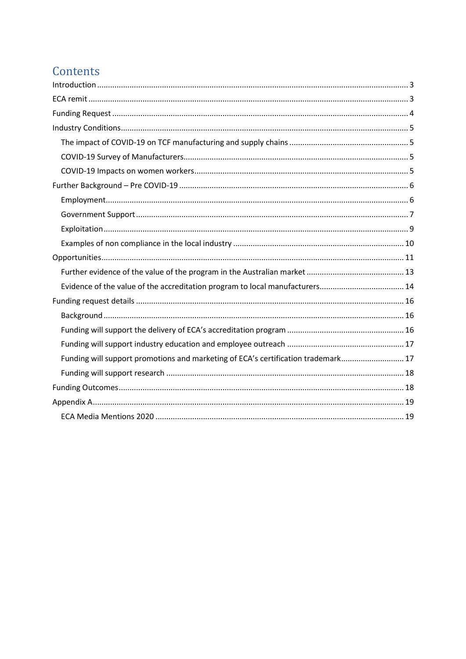# Contents

| Funding will support promotions and marketing of ECA's certification trademark 17 |  |
|-----------------------------------------------------------------------------------|--|
|                                                                                   |  |
|                                                                                   |  |
|                                                                                   |  |
|                                                                                   |  |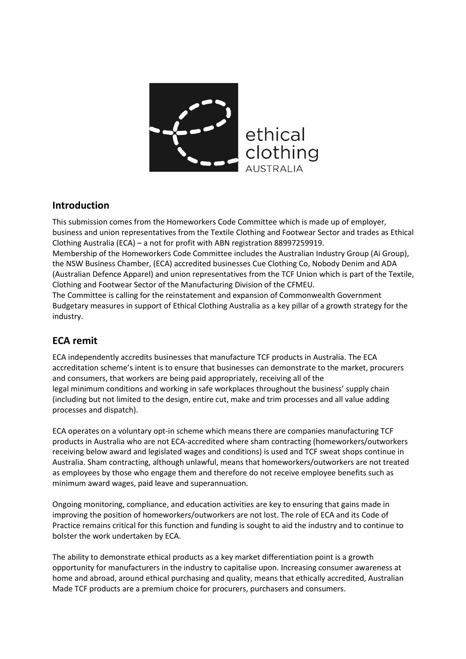

# <span id="page-2-0"></span>**Introduction**

This submission comes from the Homeworkers Code Committee which is made up of employer, business and union representatives from the Textile Clothing and Footwear Sector and trades as Ethical Clothing Australia (ECA) – a not for profit with ABN registration 88997259919. Membership of the Homeworkers Code Committee includes the Australian Industry Group (Ai Group), the NSW Business Chamber, (ECA) accredited businesses Cue Clothing Co, Nobody Denim and ADA (Australian Defence Apparel) and union representatives from the TCF Union which is part of the Textile, Clothing and Footwear Sector of the Manufacturing Division of the CFMEU. The Committee is calling for the reinstatement and expansion of Commonwealth Government

Budgetary measures in support of Ethical Clothing Australia as a key pillar of a growth strategy for the industry.

# <span id="page-2-1"></span>**ECA remit**

ECA independently accredits businesses that manufacture TCF products in Australia. The ECA accreditation scheme's intent is to ensure that businesses can demonstrate to the market, procurers and consumers, that workers are being paid appropriately, receiving all of the legal minimum conditions and working in safe workplaces throughout the business' supply chain (including but not limited to the design, entire cut, make and trim processes and all value adding processes and dispatch).

ECA operates on a voluntary opt-in scheme which means there are companies manufacturing TCF products in Australia who are not ECA-accredited where sham contracting (homeworkers/outworkers receiving below award and legislated wages and conditions) is used and TCF sweat shops continue in Australia. Sham contracting, although unlawful, means that homeworkers/outworkers are not treated as employees by those who engage them and therefore do not receive employee benefits such as minimum award wages, paid leave and superannuation.

Ongoing monitoring, compliance, and education activities are key to ensuring that gains made in improving the position of homeworkers/outworkers are not lost. The role of ECA and its Code of Practice remains critical for this function and funding is sought to aid the industry and to continue to bolster the work undertaken by ECA.

The ability to demonstrate ethical products as a key market differentiation point is a growth opportunity for manufacturers in the industry to capitalise upon. Increasing consumer awareness at home and abroad, around ethical purchasing and quality, means that ethically accredited, Australian Made TCF products are a premium choice for procurers, purchasers and consumers.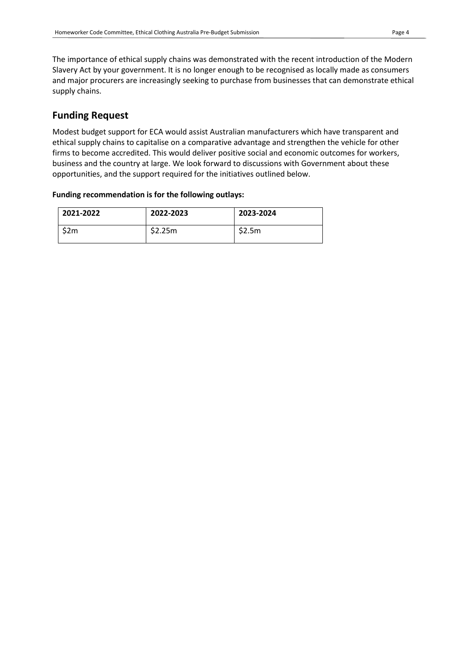The importance of ethical supply chains was demonstrated with the recent introduction of the Modern Slavery Act by your government. It is no longer enough to be recognised as locally made as consumers and major procurers are increasingly seeking to purchase from businesses that can demonstrate ethical supply chains.

# <span id="page-3-0"></span>**Funding Request**

Modest budget support for ECA would assist Australian manufacturers which have transparent and ethical supply chains to capitalise on a comparative advantage and strengthen the vehicle for other firms to become accredited. This would deliver positive social and economic outcomes for workers, business and the country at large. We look forward to discussions with Government about these opportunities, and the support required for the initiatives outlined below.

#### **Funding recommendation is for the following outlays:**

| 2021-2022 | 2022-2023 | 2023-2024 |
|-----------|-----------|-----------|
| \$2m      | \$2.25m   | \$2.5m    |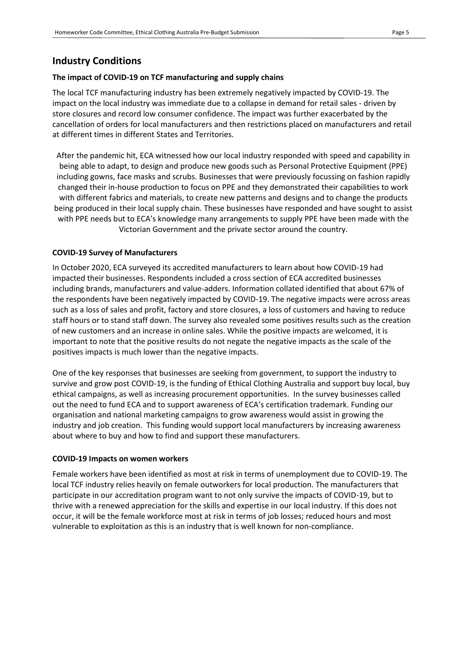# <span id="page-4-0"></span>**Industry Conditions**

#### <span id="page-4-1"></span>**The impact of COVID-19 on TCF manufacturing and supply chains**

The local TCF manufacturing industry has been extremely negatively impacted by COVID-19. The impact on the local industry was immediate due to a collapse in demand for retail sales - driven by store closures and record low consumer confidence. The impact was further exacerbated by the cancellation of orders for local manufacturers and then restrictions placed on manufacturers and retail at different times in different States and Territories.

After the pandemic hit, ECA witnessed how our local industry responded with speed and capability in being able to adapt, to design and produce new goods such as Personal Protective Equipment (PPE) including gowns, face masks and scrubs. Businesses that were previously focussing on fashion rapidly changed their in-house production to focus on PPE and they demonstrated their capabilities to work with different fabrics and materials, to create new patterns and designs and to change the products being produced in their local supply chain. These businesses have responded and have sought to assist with PPE needs but to ECA's knowledge many arrangements to supply PPE have been made with the Victorian Government and the private sector around the country.

#### <span id="page-4-2"></span>**COVID-19 Survey of Manufacturers**

In October 2020, ECA surveyed its accredited manufacturers to learn about how COVID-19 had impacted their businesses. Respondents included a cross section of ECA accredited businesses including brands, manufacturers and value-adders. Information collated identified that about 67% of the respondents have been negatively impacted by COVID-19. The negative impacts were across areas such as a loss of sales and profit, factory and store closures, a loss of customers and having to reduce staff hours or to stand staff down. The survey also revealed some positives results such as the creation of new customers and an increase in online sales. While the positive impacts are welcomed, it is important to note that the positive results do not negate the negative impacts as the scale of the positives impacts is much lower than the negative impacts.

One of the key responses that businesses are seeking from government, to support the industry to survive and grow post COVID-19, is the funding of Ethical Clothing Australia and support buy local, buy ethical campaigns, as well as increasing procurement opportunities. In the survey businesses called out the need to fund ECA and to support awareness of ECA's certification trademark. Funding our organisation and national marketing campaigns to grow awareness would assist in growing the industry and job creation. This funding would support local manufacturers by increasing awareness about where to buy and how to find and support these manufacturers.

#### <span id="page-4-3"></span>**COVID-19 Impacts on women workers**

Female workers have been identified as most at risk in terms of unemployment due to COVID-19. The local TCF industry relies heavily on female outworkers for local production. The manufacturers that participate in our accreditation program want to not only survive the impacts of COVID-19, but to thrive with a renewed appreciation for the skills and expertise in our local industry. If this does not occur, it will be the female workforce most at risk in terms of job losses; reduced hours and most vulnerable to exploitation as this is an industry that is well known for non-compliance.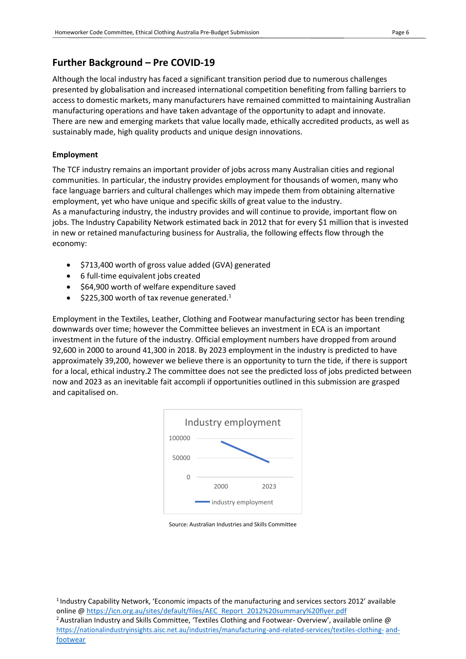# <span id="page-5-0"></span>**Further Background – Pre COVID-19**

Although the local industry has faced a significant transition period due to numerous challenges presented by globalisation and increased international competition benefiting from falling barriers to access to domestic markets, many manufacturers have remained committed to maintaining Australian manufacturing operations and have taken advantage of the opportunity to adapt and innovate. There are new and emerging markets that value locally made, ethically accredited products, as well as sustainably made, high quality products and unique design innovations.

#### <span id="page-5-1"></span>**Employment**

The TCF industry remains an important provider of jobs across many Australian cities and regional communities. In particular, the industry provides employment for thousands of women, many who face language barriers and cultural challenges which may impede them from obtaining alternative employment, yet who have unique and specific skills of great value to the industry. As a manufacturing industry, the industry provides and will continue to provide, important flow on jobs. The Industry Capability Network estimated back in 2012 that for every \$1 million that is invested in new or retained manufacturing business for Australia, the following effects flow through the economy:

- \$713,400 worth of gross value added (GVA) generated
- 6 full-time equivalent jobs created
- \$64,900 worth of welfare expenditure saved
- $$225,300$  worth of tax revenue generated.<sup>1</sup>

Employment in the Textiles, Leather, Clothing and Footwear manufacturing sector has been trending downwards over time; however the Committee believes an investment in ECA is an important investment in the future of the industry. Official employment numbers have dropped from around 92,600 in 2000 to around 41,300 in 2018. By 2023 employment in the industry is predicted to have approximately 39,200, however we believe there is an opportunity to turn the tide, if there is support for a local, ethical industry.2 The committee does not see the predicted loss of jobs predicted between now and 2023 as an inevitable fait accompli if opportunities outlined in this submission are grasped and capitalised on.



Source: Australian Industries and Skills Committee

<sup>1</sup>Industry Capability Network, 'Economic impacts of the manufacturing and services sectors 2012' available online @ [https://icn.org.au/sites/default/files/AEC\\_Report\\_2012%20summary%20flyer.pdf](https://icn.org.au/sites/default/files/AEC_Report_2012%20summary%20flyer.pdf) <sup>2</sup> Australian Industry and Skills Committee, 'Textiles Clothing and Footwear- Overview', available online @ [https://nationalindustryinsights.aisc.net.au/industries/manufacturing-and-related-services/textiles-clothing-](https://nationalindustryinsights.aisc.net.au/industries/manufacturing-and-related-services/textiles-clothing-and-footwear) [and](https://nationalindustryinsights.aisc.net.au/industries/manufacturing-and-related-services/textiles-clothing-and-footwear)[footwear](https://nationalindustryinsights.aisc.net.au/industries/manufacturing-and-related-services/textiles-clothing-and-footwear)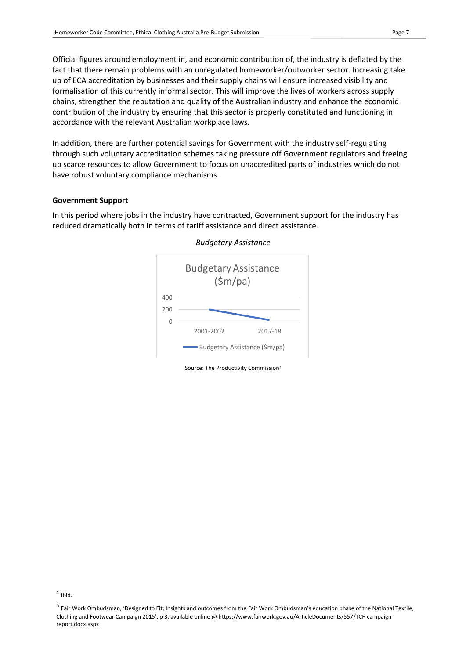Official figures around employment in, and economic contribution of, the industry is deflated by the fact that there remain problems with an unregulated homeworker/outworker sector. Increasing take up of ECA accreditation by businesses and their supply chains will ensure increased visibility and formalisation of this currently informal sector. This will improve the lives of workers across supply chains, strengthen the reputation and quality of the Australian industry and enhance the economic contribution of the industry by ensuring that this sector is properly constituted and functioning in accordance with the relevant Australian workplace laws.

In addition, there are further potential savings for Government with the industry self-regulating through such voluntary accreditation schemes taking pressure off Government regulators and freeing up scarce resources to allow Government to focus on unaccredited parts of industries which do not have robust voluntary compliance mechanisms.

#### <span id="page-6-0"></span>**Government Support**

In this period where jobs in the industry have contracted, Government support for the industry has reduced dramatically both in terms of tariff assistance and direct assistance.





Source: The Productivity Commission<sup>3</sup>

 $<sup>4</sup>$  Ibid.</sup>

<sup>&</sup>lt;sup>5</sup> Fair Work Ombudsman, 'Designed to Fit; Insights and outcomes from the Fair Work Ombudsman's education phase of the National Textile, Clothing and Footwear Campaign 2015', p 3, available online @ https://www.fairwork.gov.au/ArticleDocuments/557/TCF-campaignreport.docx.aspx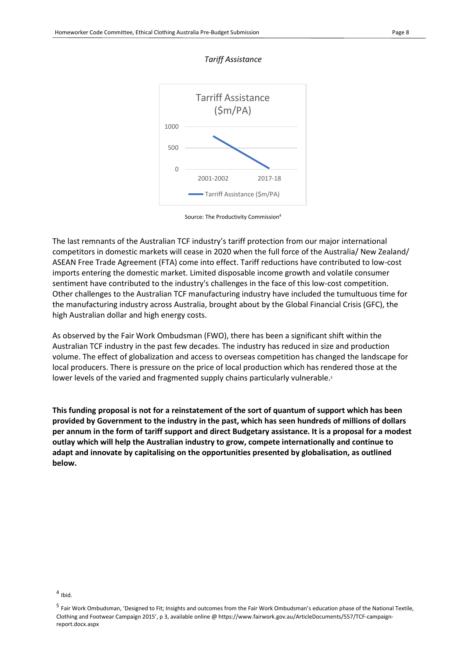



Source: The Productivity Commission<sup>4</sup>

The last remnants of the Australian TCF industry's tariff protection from our major international competitors in domestic markets will cease in 2020 when the full force of the Australia/ New Zealand/ ASEAN Free Trade Agreement (FTA) come into effect. Tariff reductions have contributed to low-cost imports entering the domestic market. Limited disposable income growth and volatile consumer sentiment have contributed to the industry's challenges in the face of this low-cost competition. Other challenges to the Australian TCF manufacturing industry have included the tumultuous time for the manufacturing industry across Australia, brought about by the Global Financial Crisis (GFC), the high Australian dollar and high energy costs.

As observed by the Fair Work Ombudsman (FWO), there has been a significant shift within the Australian TCF industry in the past few decades. The industry has reduced in size and production volume. The effect of globalization and access to overseas competition has changed the landscape for local producers. There is pressure on the price of local production which has rendered those at the lower levels of the varied and fragmented supply chains particularly vulnerable.<sup>5</sup>

**This funding proposal is not for a reinstatement of the sort of quantum of support which has been provided by Government to the industry in the past, which has seen hundreds of millions of dollars per annum in the form of tariff support and direct Budgetary assistance. It is a proposal for a modest outlay which will help the Australian industry to grow, compete internationally and continue to adapt and innovate by capitalising on the opportunities presented by globalisation, as outlined below.**

#### $<sup>4</sup>$  Ibid.</sup>

<sup>&</sup>lt;sup>5</sup> Fair Work Ombudsman, 'Designed to Fit; Insights and outcomes from the Fair Work Ombudsman's education phase of the National Textile, Clothing and Footwear Campaign 2015', p 3, available online @ https://www.fairwork.gov.au/ArticleDocuments/557/TCF-campaignreport.docx.aspx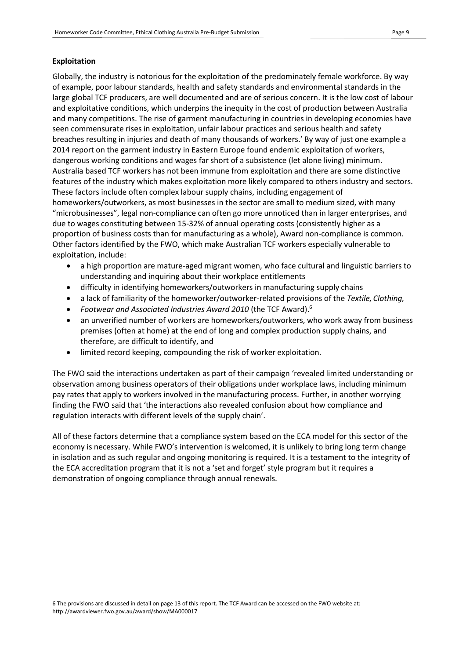#### <span id="page-8-0"></span>**Exploitation**

Globally, the industry is notorious for the exploitation of the predominately female workforce. By way of example, poor labour standards, health and safety standards and environmental standards in the large global TCF producers, are well documented and are of serious concern. It is the low cost of labour and exploitative conditions, which underpins the inequity in the cost of production between Australia and many competitions. The rise of garment manufacturing in countries in developing economies have seen commensurate rises in exploitation, unfair labour practices and serious health and safety breaches resulting in injuries and death of many thousands of workers.' By way of just one example a 2014 report on the garment industry in Eastern Europe found endemic exploitation of workers, dangerous working conditions and wages far short of a subsistence (let alone living) minimum. Australia based TCF workers has not been immune from exploitation and there are some distinctive features of the industry which makes exploitation more likely compared to others industry and sectors. These factors include often complex labour supply chains, including engagement of homeworkers/outworkers, as most businesses in the sector are small to medium sized, with many "microbusinesses", legal non-compliance can often go more unnoticed than in larger enterprises, and due to wages constituting between 15-32% of annual operating costs (consistently higher as a proportion of business costs than for manufacturing as a whole), Award non-compliance is common. Other factors identified by the FWO, which make Australian TCF workers especially vulnerable to exploitation, include:

- a high proportion are mature-aged migrant women, who face cultural and linguistic barriers to understanding and inquiring about their workplace entitlements
- difficulty in identifying homeworkers/outworkers in manufacturing supply chains
- a lack of familiarity of the homeworker/outworker-related provisions of the *Textile, Clothing,*
- *Footwear and Associated Industries Award 2010* (the TCF Award).<sup>6</sup>
- an unverified number of workers are homeworkers/outworkers, who work away from business premises (often at home) at the end of long and complex production supply chains, and therefore, are difficult to identify, and
- limited record keeping, compounding the risk of worker exploitation.

The FWO said the interactions undertaken as part of their campaign 'revealed limited understanding or observation among business operators of their obligations under workplace laws, including minimum pay rates that apply to workers involved in the manufacturing process. Further, in another worrying finding the FWO said that 'the interactions also revealed confusion about how compliance and regulation interacts with different levels of the supply chain'.

All of these factors determine that a compliance system based on the ECA model for this sector of the economy is necessary. While FWO's intervention is welcomed, it is unlikely to bring long term change in isolation and as such regular and ongoing monitoring is required. It is a testament to the integrity of the ECA accreditation program that it is not a 'set and forget' style program but it requires a demonstration of ongoing compliance through annual renewals.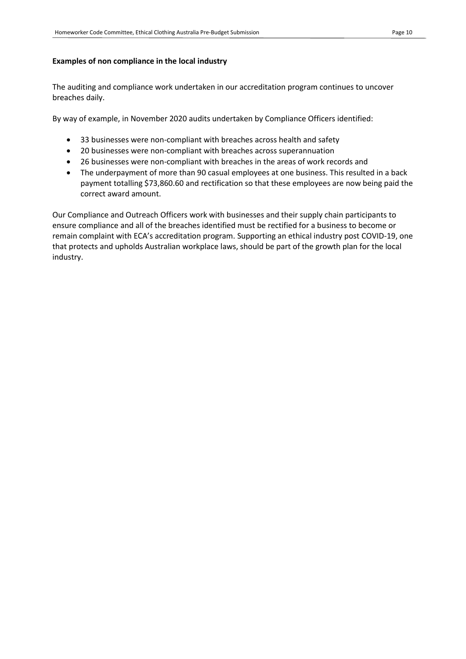#### <span id="page-9-0"></span>**Examples of non compliance in the local industry**

The auditing and compliance work undertaken in our accreditation program continues to uncover breaches daily.

By way of example, in November 2020 audits undertaken by Compliance Officers identified:

- 33 businesses were non-compliant with breaches across health and safety
- 20 businesses were non-compliant with breaches across superannuation
- 26 businesses were non-compliant with breaches in the areas of work records and
- The underpayment of more than 90 casual employees at one business. This resulted in a back payment totalling \$73,860.60 and rectification so that these employees are now being paid the correct award amount.

Our Compliance and Outreach Officers work with businesses and their supply chain participants to ensure compliance and all of the breaches identified must be rectified for a business to become or remain complaint with ECA's accreditation program. Supporting an ethical industry post COVID-19, one that protects and upholds Australian workplace laws, should be part of the growth plan for the local industry.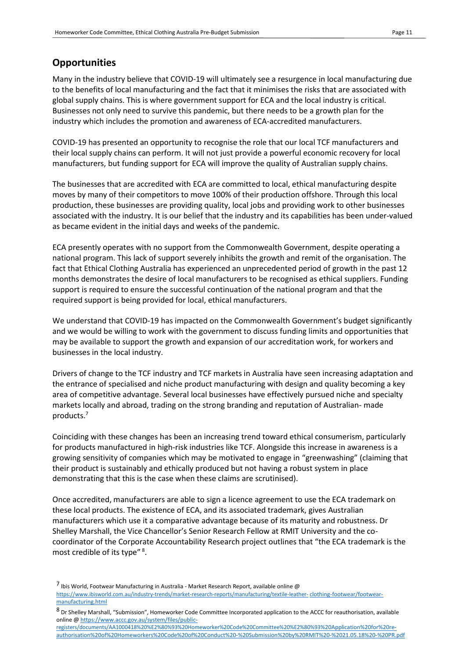## <span id="page-10-0"></span>**Opportunities**

Many in the industry believe that COVID-19 will ultimately see a resurgence in local manufacturing due to the benefits of local manufacturing and the fact that it minimises the risks that are associated with global supply chains. This is where government support for ECA and the local industry is critical. Businesses not only need to survive this pandemic, but there needs to be a growth plan for the industry which includes the promotion and awareness of ECA-accredited manufacturers.

COVID-19 has presented an opportunity to recognise the role that our local TCF manufacturers and their local supply chains can perform. It will not just provide a powerful economic recovery for local manufacturers, but funding support for ECA will improve the quality of Australian supply chains.

The businesses that are accredited with ECA are committed to local, ethical manufacturing despite moves by many of their competitors to move 100% of their production offshore. Through this local production, these businesses are providing quality, local jobs and providing work to other businesses associated with the industry. It is our belief that the industry and its capabilities has been under-valued as became evident in the initial days and weeks of the pandemic.

ECA presently operates with no support from the Commonwealth Government, despite operating a national program. This lack of support severely inhibits the growth and remit of the organisation. The fact that Ethical Clothing Australia has experienced an unprecedented period of growth in the past 12 months demonstrates the desire of local manufacturers to be recognised as ethical suppliers. Funding support is required to ensure the successful continuation of the national program and that the required support is being provided for local, ethical manufacturers.

We understand that COVID-19 has impacted on the Commonwealth Government's budget significantly and we would be willing to work with the government to discuss funding limits and opportunities that may be available to support the growth and expansion of our accreditation work, for workers and businesses in the local industry.

Drivers of change to the TCF industry and TCF markets in Australia have seen increasing adaptation and the entrance of specialised and niche product manufacturing with design and quality becoming a key area of competitive advantage. Several local businesses have effectively pursued niche and specialty markets locally and abroad, trading on the strong branding and reputation of Australian- made products.<sup>7</sup>

Coinciding with these changes has been an increasing trend toward ethical consumerism, particularly for products manufactured in high-risk industries like TCF. Alongside this increase in awareness is a growing sensitivity of companies which may be motivated to engage in "greenwashing" (claiming that their product is sustainably and ethically produced but not having a robust system in place demonstrating that this is the case when these claims are scrutinised).

Once accredited, manufacturers are able to sign a licence agreement to use the ECA trademark on these local products. The existence of ECA, and its associated trademark, gives Australian manufacturers which use it a comparative advantage because of its maturity and robustness. Dr Shelley Marshall, the Vice Chancellor's Senior Research Fellow at RMIT University and the cocoordinator of the Corporate Accountability Research project outlines that "the ECA trademark is the most credible of its type"<sup>8</sup>.

[registers/documents/AA1000418%20%E2%80%93%20Homeworker%20Code%20Committee%20%E2%80%93%20Application%20for%20re](https://www.accc.gov.au/system/files/public-registers/documents/AA1000418%20%E2%80%93%20Homeworker%20Code%20Committee%20%E2%80%93%20Application%20for%20re-authorisation%20of%20Homeworkers%20Code%20of%20Conduct%20-%20Submission%20by%20RMIT%20-%2021.05.18%20-%20PR.pdf)[authorisation%20of%20Homeworkers%20Code%20of%20Conduct%20-%20Submission%20by%20RMIT%20-%2021.05.18%20-%20PR.pdf](https://www.accc.gov.au/system/files/public-registers/documents/AA1000418%20%E2%80%93%20Homeworker%20Code%20Committee%20%E2%80%93%20Application%20for%20re-authorisation%20of%20Homeworkers%20Code%20of%20Conduct%20-%20Submission%20by%20RMIT%20-%2021.05.18%20-%20PR.pdf)

 $^7$  Ibis World, Footwear Manufacturing in Australia - Market Research Report, available online  $@$ [https://www.ibisworld.com.au/industry-trends/market-research-reports/manufacturing/textile-leather-](https://www.ibisworld.com.au/industry-trends/market-research-reports/manufacturing/textile-leather-clothing-footwear/footwear-manufacturing.html) [clothing-footwear/footwear](https://www.ibisworld.com.au/industry-trends/market-research-reports/manufacturing/textile-leather-clothing-footwear/footwear-manufacturing.html)[manufacturing.html](https://www.ibisworld.com.au/industry-trends/market-research-reports/manufacturing/textile-leather-clothing-footwear/footwear-manufacturing.html)

<sup>8</sup>Dr Shelley Marshall, "Submission", Homeworker Code Committee Incorporated application to the ACCC for reauthorisation, available online [@ https://www.accc.gov.au/system/files/public-](https://www.accc.gov.au/system/files/public-registers/documents/AA1000418%20%E2%80%93%20Homeworker%20Code%20Committee%20%E2%80%93%20Application%20for%20re-authorisation%20of%20Homeworkers%20Code%20of%20Conduct%20-%20Submission%20by%20RMIT%20-%2021.05.18%20-%20PR.pdf)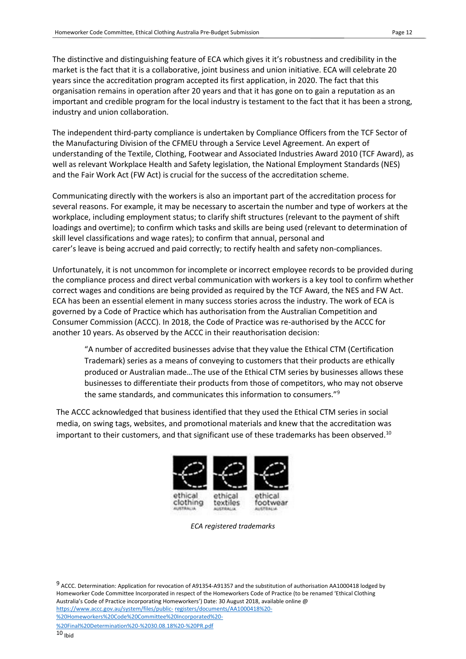The distinctive and distinguishing feature of ECA which gives it it's robustness and credibility in the market is the fact that it is a collaborative, joint business and union initiative. ECA will celebrate 20 years since the accreditation program accepted its first application, in 2020. The fact that this organisation remains in operation after 20 years and that it has gone on to gain a reputation as an important and credible program for the local industry is testament to the fact that it has been a strong, industry and union collaboration.

The independent third-party compliance is undertaken by Compliance Officers from the TCF Sector of the Manufacturing Division of the CFMEU through a Service Level Agreement. An expert of understanding of the Textile, Clothing, Footwear and Associated Industries Award 2010 (TCF Award), as well as relevant Workplace Health and Safety legislation, the National Employment Standards (NES) and the Fair Work Act (FW Act) is crucial for the success of the accreditation scheme.

Communicating directly with the workers is also an important part of the accreditation process for several reasons. For example, it may be necessary to ascertain the number and type of workers at the workplace, including employment status; to clarify shift structures (relevant to the payment of shift loadings and overtime); to confirm which tasks and skills are being used (relevant to determination of skill level classifications and wage rates); to confirm that annual, personal and carer's leave is being accrued and paid correctly; to rectify health and safety non-compliances.

Unfortunately, it is not uncommon for incomplete or incorrect employee records to be provided during the compliance process and direct verbal communication with workers is a key tool to confirm whether correct wages and conditions are being provided as required by the TCF Award, the NES and FW Act. ECA has been an essential element in many success stories across the industry. The work of ECA is governed by a Code of Practice which has authorisation from the Australian Competition and Consumer Commission (ACCC). In 2018, the Code of Practice was re-authorised by the ACCC for another 10 years. As observed by the ACCC in their reauthorisation decision:

"A number of accredited businesses advise that they value the Ethical CTM (Certification Trademark) series as a means of conveying to customers that their products are ethically produced or Australian made…The use of the Ethical CTM series by businesses allows these businesses to differentiate their products from those of competitors, who may not observe the same standards, and communicates this information to consumers."<sup>9</sup>

The ACCC acknowledged that business identified that they used the Ethical CTM series in social media, on swing tags, websites, and promotional materials and knew that the accreditation was important to their customers, and that significant use of these trademarks has been observed.<sup>10</sup>







*ECA registered trademarks*

9 ACCC. Determination: Application for revocation of A91354-A91357 and the substitution of authorisation AA1000418 lodged by Homeworker Code Committee Incorporated in respect of the Homeworkers Code of Practice (to be renamed 'Ethical Clothing Australia's Code of Practice incorporating Homeworkers') Date: 30 August 2018, available online @ [https://www.accc.gov.au/system/files/public-](https://www.accc.gov.au/system/files/public-registers/documents/AA1000418%20-%20Homeworkers%20Code%20Committee%20Incorporated%20-%20Final%20Determination%20-%2030.08.18%20-%20PR.pdf) [registers/documents/AA1000418%20-](https://www.accc.gov.au/system/files/public-registers/documents/AA1000418%20-%20Homeworkers%20Code%20Committee%20Incorporated%20-%20Final%20Determination%20-%2030.08.18%20-%20PR.pdf) [%20Homeworkers%20Code%20Committee%20Incorporated%20-](https://www.accc.gov.au/system/files/public-registers/documents/AA1000418%20-%20Homeworkers%20Code%20Committee%20Incorporated%20-%20Final%20Determination%20-%2030.08.18%20-%20PR.pdf) [%20Final%20Determination%20-%2030.08.18%20-%20PR.pdf](https://www.accc.gov.au/system/files/public-registers/documents/AA1000418%20-%20Homeworkers%20Code%20Committee%20Incorporated%20-%20Final%20Determination%20-%2030.08.18%20-%20PR.pdf)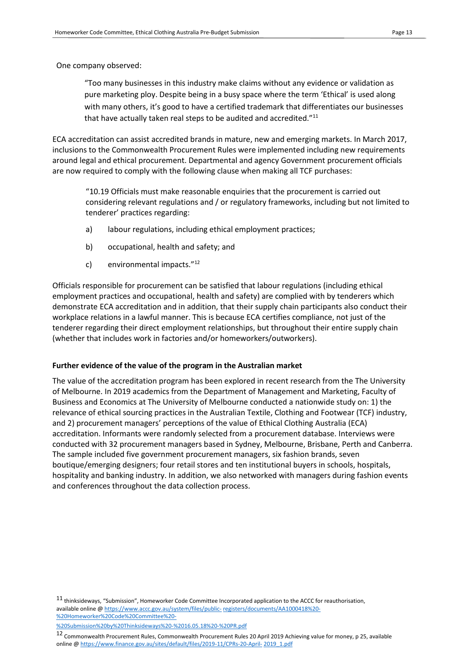One company observed:

"Too many businesses in this industry make claims without any evidence or validation as pure marketing ploy. Despite being in a busy space where the term 'Ethical' is used along with many others, it's good to have a certified trademark that differentiates our businesses that have actually taken real steps to be audited and accredited."<sup>11</sup>

ECA accreditation can assist accredited brands in mature, new and emerging markets. In March 2017, inclusions to the Commonwealth Procurement Rules were implemented including new requirements around legal and ethical procurement. Departmental and agency Government procurement officials are now required to comply with the following clause when making all TCF purchases:

"10.19 Officials must make reasonable enquiries that the procurement is carried out considering relevant regulations and / or regulatory frameworks, including but not limited to tenderer' practices regarding:

- a) labour regulations, including ethical employment practices;
- b) occupational, health and safety; and
- c) environmental impacts."<sup>12</sup>

Officials responsible for procurement can be satisfied that labour regulations (including ethical employment practices and occupational, health and safety) are complied with by tenderers which demonstrate ECA accreditation and in addition, that their supply chain participants also conduct their workplace relations in a lawful manner. This is because ECA certifies compliance, not just of the tenderer regarding their direct employment relationships, but throughout their entire supply chain (whether that includes work in factories and/or homeworkers/outworkers).

#### <span id="page-12-0"></span>**Further evidence of the value of the program in the Australian market**

The value of the accreditation program has been explored in recent research from the The University of Melbourne. In 2019 academics from the Department of Management and Marketing, Faculty of Business and Economics at The University of Melbourne conducted a nationwide study on: 1) the relevance of ethical sourcing practices in the Australian Textile, Clothing and Footwear (TCF) industry, and 2) procurement managers' perceptions of the value of Ethical Clothing Australia (ECA) accreditation. Informants were randomly selected from a procurement database. Interviews were conducted with 32 procurement managers based in Sydney, Melbourne, Brisbane, Perth and Canberra. The sample included five government procurement managers, six fashion brands, seven boutique/emerging designers; four retail stores and ten institutional buyers in schools, hospitals, hospitality and banking industry. In addition, we also networked with managers during fashion events and conferences throughout the data collection process.

11 thinksideways, "Submission", Homeworker Code Committee Incorporated application to the ACCC for reauthorisation, available online [@ https://www.accc.gov.au/system/files/public-](https://www.accc.gov.au/system/files/public-registers/documents/AA1000418%20-%20Homeworker%20Code%20Committee%20-%20Submission%20by%20Thinksideways%20-%2016.05.18%20-%20PR.pdf) [registers/documents/AA1000418%20-](https://www.accc.gov.au/system/files/public-registers/documents/AA1000418%20-%20Homeworker%20Code%20Committee%20-%20Submission%20by%20Thinksideways%20-%2016.05.18%20-%20PR.pdf) [%20Homeworker%20Code%20Committee%20-](https://www.accc.gov.au/system/files/public-registers/documents/AA1000418%20-%20Homeworker%20Code%20Committee%20-%20Submission%20by%20Thinksideways%20-%2016.05.18%20-%20PR.pdf)

[<sup>%20</sup>Submission%20by%20Thinksideways%20-%2016.05.18%20-%20PR.pdf](https://www.accc.gov.au/system/files/public-registers/documents/AA1000418%20-%20Homeworker%20Code%20Committee%20-%20Submission%20by%20Thinksideways%20-%2016.05.18%20-%20PR.pdf)

<sup>12</sup> Commonwealth Procurement Rules, Commonwealth Procurement Rules 20 April 2019 Achieving value for money, p 25, available online [@ https://www.finance.gov.au/sites/default/files/2019-11/CPRs-20-April-](https://www.finance.gov.au/sites/default/files/2019-11/CPRs-20-April-2019_1.pdf) [2019\\_1.pdf](https://www.finance.gov.au/sites/default/files/2019-11/CPRs-20-April-2019_1.pdf)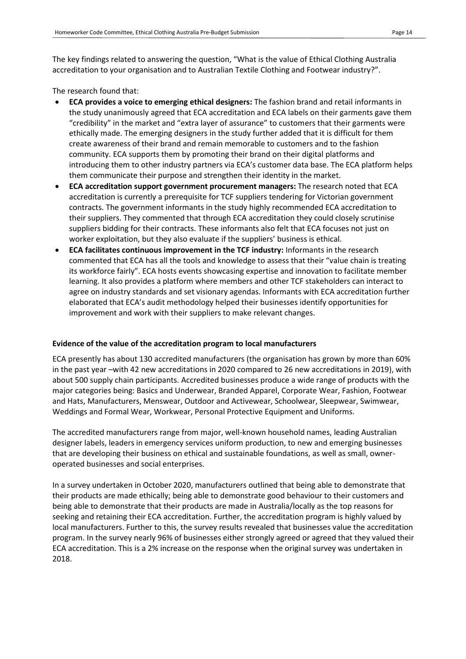The key findings related to answering the question, "What is the value of Ethical Clothing Australia accreditation to your organisation and to Australian Textile Clothing and Footwear industry?".

The research found that:

- **ECA provides a voice to emerging ethical designers:** The fashion brand and retail informants in the study unanimously agreed that ECA accreditation and ECA labels on their garments gave them "credibility" in the market and "extra layer of assurance" to customers that their garments were ethically made. The emerging designers in the study further added that it is difficult for them create awareness of their brand and remain memorable to customers and to the fashion community. ECA supports them by promoting their brand on their digital platforms and introducing them to other industry partners via ECA's customer data base. The ECA platform helps them communicate their purpose and strengthen their identity in the market.
- **ECA accreditation support government procurement managers:** The research noted that ECA accreditation is currently a prerequisite for TCF suppliers tendering for Victorian government contracts. The government informants in the study highly recommended ECA accreditation to their suppliers. They commented that through ECA accreditation they could closely scrutinise suppliers bidding for their contracts. These informants also felt that ECA focuses not just on worker exploitation, but they also evaluate if the suppliers' business is ethical.
- **ECA facilitates continuous improvement in the TCF industry:** Informants in the research commented that ECA has all the tools and knowledge to assess that their "value chain is treating its workforce fairly". ECA hosts events showcasing expertise and innovation to facilitate member learning. It also provides a platform where members and other TCF stakeholders can interact to agree on industry standards and set visionary agendas. Informants with ECA accreditation further elaborated that ECA's audit methodology helped their businesses identify opportunities for improvement and work with their suppliers to make relevant changes.

#### <span id="page-13-0"></span>**Evidence of the value of the accreditation program to local manufacturers**

ECA presently has about 130 accredited manufacturers (the organisation has grown by more than 60% in the past year –with 42 new accreditations in 2020 compared to 26 new accreditations in 2019), with about 500 supply chain participants. Accredited businesses produce a wide range of products with the major categories being: Basics and Underwear, Branded Apparel, Corporate Wear, Fashion, Footwear and Hats, Manufacturers, Menswear, Outdoor and Activewear, Schoolwear, Sleepwear, Swimwear, Weddings and Formal Wear, Workwear, Personal Protective Equipment and Uniforms.

The accredited manufacturers range from major, well-known household names, leading Australian designer labels, leaders in emergency services uniform production, to new and emerging businesses that are developing their business on ethical and sustainable foundations, as well as small, owneroperated businesses and social enterprises.

In a survey undertaken in October 2020, manufacturers outlined that being able to demonstrate that their products are made ethically; being able to demonstrate good behaviour to their customers and being able to demonstrate that their products are made in Australia/locally as the top reasons for seeking and retaining their ECA accreditation. Further, the accreditation program is highly valued by local manufacturers. Further to this, the survey results revealed that businesses value the accreditation program. In the survey nearly 96% of businesses either strongly agreed or agreed that they valued their ECA accreditation. This is a 2% increase on the response when the original survey was undertaken in 2018.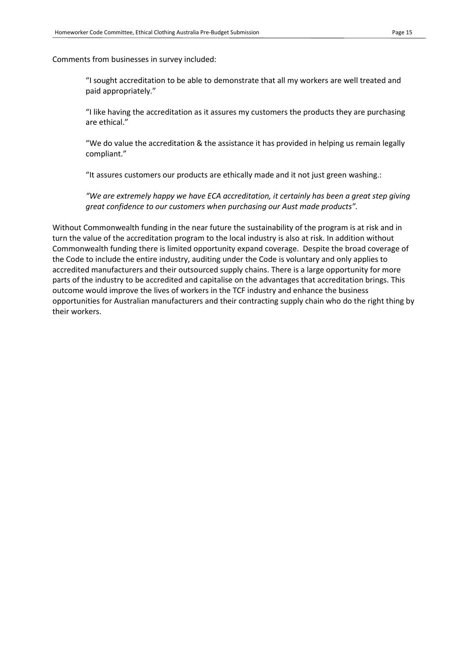Comments from businesses in survey included:

"I sought accreditation to be able to demonstrate that all my workers are well treated and paid appropriately."

"I like having the accreditation as it assures my customers the products they are purchasing are ethical."

"We do value the accreditation & the assistance it has provided in helping us remain legally compliant."

"It assures customers our products are ethically made and it not just green washing.:

*"We are extremely happy we have ECA accreditation, it certainly has been a great step giving great confidence to our customers when purchasing our Aust made products".*

Without Commonwealth funding in the near future the sustainability of the program is at risk and in turn the value of the accreditation program to the local industry is also at risk. In addition without Commonwealth funding there is limited opportunity expand coverage. Despite the broad coverage of the Code to include the entire industry, auditing under the Code is voluntary and only applies to accredited manufacturers and their outsourced supply chains. There is a large opportunity for more parts of the industry to be accredited and capitalise on the advantages that accreditation brings. This outcome would improve the lives of workers in the TCF industry and enhance the business opportunities for Australian manufacturers and their contracting supply chain who do the right thing by their workers.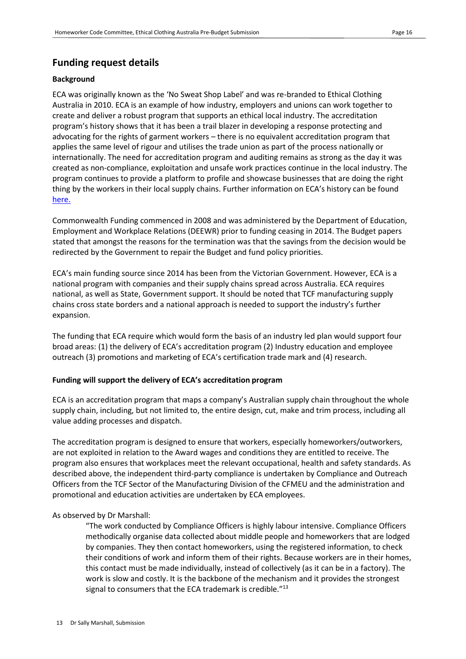# <span id="page-15-0"></span>**Funding request details**

#### <span id="page-15-1"></span>**Background**

ECA was originally known as the 'No Sweat Shop Label' and was re-branded to Ethical Clothing Australia in 2010. ECA is an example of how industry, employers and unions can work together to create and deliver a robust program that supports an ethical local industry. The accreditation program's history shows that it has been a trail blazer in developing a response protecting and advocating for the rights of garment workers – there is no equivalent accreditation program that applies the same level of rigour and utilises the trade union as part of the process nationally or internationally. The need for accreditation program and auditing remains as strong as the day it was created as non-compliance, exploitation and unsafe work practices continue in the local industry. The program continues to provide a platform to profile and showcase businesses that are doing the right thing by the workers in their local supply chains. Further information on ECA's history can be found [here.](https://ethicalclothingaustralia.org.au/history/)

Commonwealth Funding commenced in 2008 and was administered by the Department of Education, Employment and Workplace Relations (DEEWR) prior to funding ceasing in 2014. The Budget papers stated that amongst the reasons for the termination was that the savings from the decision would be redirected by the Government to repair the Budget and fund policy priorities.

ECA's main funding source since 2014 has been from the Victorian Government. However, ECA is a national program with companies and their supply chains spread across Australia. ECA requires national, as well as State, Government support. It should be noted that TCF manufacturing supply chains cross state borders and a national approach is needed to support the industry's further expansion.

The funding that ECA require which would form the basis of an industry led plan would support four broad areas: (1) the delivery of ECA's accreditation program (2) Industry education and employee outreach (3) promotions and marketing of ECA's certification trade mark and (4) research.

#### <span id="page-15-2"></span>**Funding will support the delivery of ECA's accreditation program**

ECA is an accreditation program that maps a company's Australian supply chain throughout the whole supply chain, including, but not limited to, the entire design, cut, make and trim process, including all value adding processes and dispatch.

The accreditation program is designed to ensure that workers, especially homeworkers/outworkers, are not exploited in relation to the Award wages and conditions they are entitled to receive. The program also ensures that workplaces meet the relevant occupational, health and safety standards. As described above, the independent third-party compliance is undertaken by Compliance and Outreach Officers from the TCF Sector of the Manufacturing Division of the CFMEU and the administration and promotional and education activities are undertaken by ECA employees.

#### As observed by Dr Marshall:

"The work conducted by Compliance Officers is highly labour intensive. Compliance Officers methodically organise data collected about middle people and homeworkers that are lodged by companies. They then contact homeworkers, using the registered information, to check their conditions of work and inform them of their rights. Because workers are in their homes, this contact must be made individually, instead of collectively (as it can be in a factory). The work is slow and costly. It is the backbone of the mechanism and it provides the strongest signal to consumers that the ECA trademark is credible."<sup>13</sup>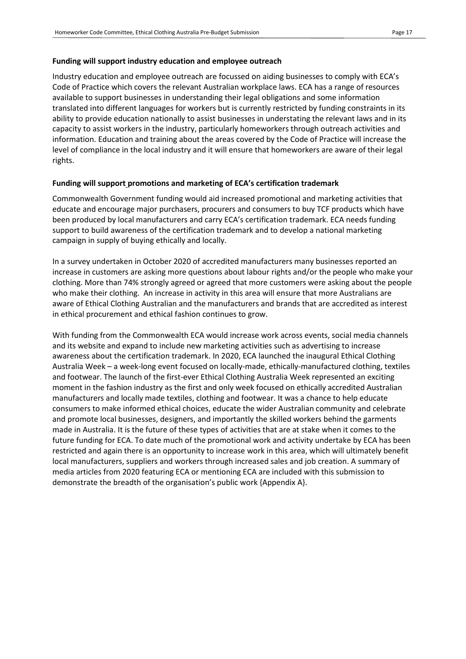#### <span id="page-16-0"></span>**Funding will support industry education and employee outreach**

Industry education and employee outreach are focussed on aiding businesses to comply with ECA's Code of Practice which covers the relevant Australian workplace laws. ECA has a range of resources available to support businesses in understanding their legal obligations and some information translated into different languages for workers but is currently restricted by funding constraints in its ability to provide education nationally to assist businesses in understating the relevant laws and in its capacity to assist workers in the industry, particularly homeworkers through outreach activities and information. Education and training about the areas covered by the Code of Practice will increase the level of compliance in the local industry and it will ensure that homeworkers are aware of their legal rights.

#### <span id="page-16-1"></span>**Funding will support promotions and marketing of ECA's certification trademark**

Commonwealth Government funding would aid increased promotional and marketing activities that educate and encourage major purchasers, procurers and consumers to buy TCF products which have been produced by local manufacturers and carry ECA's certification trademark. ECA needs funding support to build awareness of the certification trademark and to develop a national marketing campaign in supply of buying ethically and locally.

In a survey undertaken in October 2020 of accredited manufacturers many businesses reported an increase in customers are asking more questions about labour rights and/or the people who make your clothing. More than 74% strongly agreed or agreed that more customers were asking about the people who make their clothing. An increase in activity in this area will ensure that more Australians are aware of Ethical Clothing Australian and the manufacturers and brands that are accredited as interest in ethical procurement and ethical fashion continues to grow.

With funding from the Commonwealth ECA would increase work across events, social media channels and its website and expand to include new marketing activities such as advertising to increase awareness about the certification trademark. In 2020, ECA launched the inaugural Ethical Clothing Australia Week – a week-long event focused on locally-made, ethically-manufactured clothing, textiles and footwear. The launch of the first-ever Ethical Clothing Australia Week represented an exciting moment in the fashion industry as the first and only week focused on ethically accredited Australian manufacturers and locally made textiles, clothing and footwear. It was a chance to help educate consumers to make informed ethical choices, educate the wider Australian community and celebrate and promote local businesses, designers, and importantly the skilled workers behind the garments made in Australia. It is the future of these types of activities that are at stake when it comes to the future funding for ECA. To date much of the promotional work and activity undertake by ECA has been restricted and again there is an opportunity to increase work in this area, which will ultimately benefit local manufacturers, suppliers and workers through increased sales and job creation. A summary of media articles from 2020 featuring ECA or mentioning ECA are included with this submission to demonstrate the breadth of the organisation's public work {Appendix A}.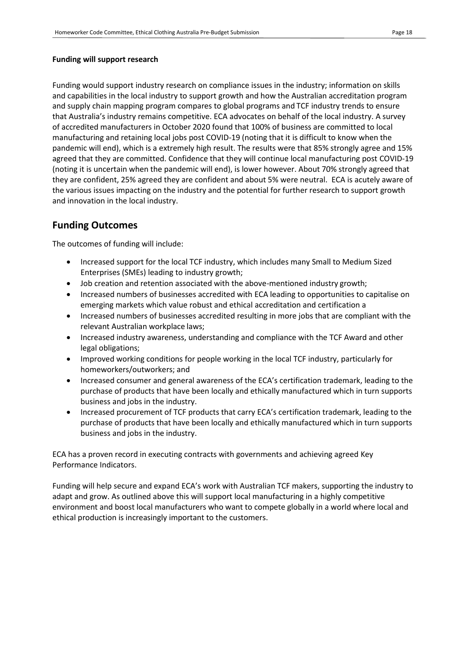#### <span id="page-17-0"></span>**Funding will support research**

Funding would support industry research on compliance issues in the industry; information on skills and capabilities in the local industry to support growth and how the Australian accreditation program and supply chain mapping program compares to global programs and TCF industry trends to ensure that Australia's industry remains competitive. ECA advocates on behalf of the local industry. A survey of accredited manufacturers in October 2020 found that 100% of business are committed to local manufacturing and retaining local jobs post COVID-19 (noting that it is difficult to know when the pandemic will end), which is a extremely high result. The results were that 85% strongly agree and 15% agreed that they are committed. Confidence that they will continue local manufacturing post COVID-19 (noting it is uncertain when the pandemic will end), is lower however. About 70% strongly agreed that they are confident, 25% agreed they are confident and about 5% were neutral. ECA is acutely aware of the various issues impacting on the industry and the potential for further research to support growth and innovation in the local industry.

## <span id="page-17-1"></span>**Funding Outcomes**

The outcomes of funding will include:

- Increased support for the local TCF industry, which includes many Small to Medium Sized Enterprises (SMEs) leading to industry growth;
- Job creation and retention associated with the above-mentioned industry growth;
- Increased numbers of businesses accredited with ECA leading to opportunities to capitalise on emerging markets which value robust and ethical accreditation and certification a
- Increased numbers of businesses accredited resulting in more jobs that are compliant with the relevant Australian workplace laws;
- Increased industry awareness, understanding and compliance with the TCF Award and other legal obligations;
- Improved working conditions for people working in the local TCF industry, particularly for homeworkers/outworkers; and
- Increased consumer and general awareness of the ECA's certification trademark, leading to the purchase of products that have been locally and ethically manufactured which in turn supports business and jobs in the industry.
- Increased procurement of TCF products that carry ECA's certification trademark, leading to the purchase of products that have been locally and ethically manufactured which in turn supports business and jobs in the industry.

ECA has a proven record in executing contracts with governments and achieving agreed Key Performance Indicators.

Funding will help secure and expand ECA's work with Australian TCF makers, supporting the industry to adapt and grow. As outlined above this will support local manufacturing in a highly competitive environment and boost local manufacturers who want to compete globally in a world where local and ethical production is increasingly important to the customers.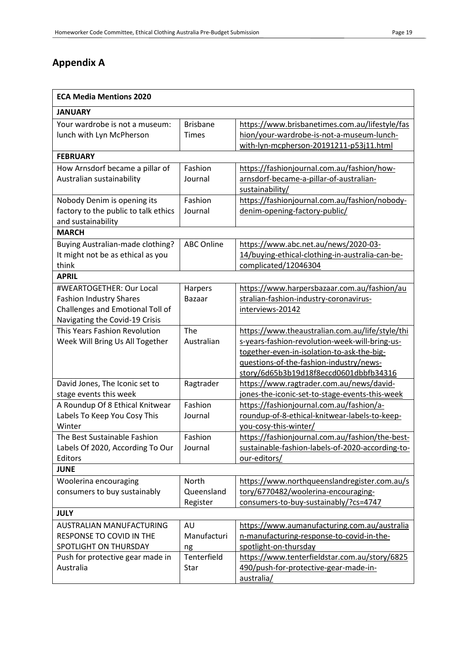# <span id="page-18-0"></span>**Appendix A**

<span id="page-18-1"></span>

| <b>ECA Media Mentions 2020</b>                                                                                                   |                                 |                                                                                                                                                                                                                                      |  |  |
|----------------------------------------------------------------------------------------------------------------------------------|---------------------------------|--------------------------------------------------------------------------------------------------------------------------------------------------------------------------------------------------------------------------------------|--|--|
| <b>JANUARY</b>                                                                                                                   |                                 |                                                                                                                                                                                                                                      |  |  |
| Your wardrobe is not a museum:<br>lunch with Lyn McPherson                                                                       | <b>Brisbane</b><br><b>Times</b> | https://www.brisbanetimes.com.au/lifestyle/fas<br>hion/your-wardrobe-is-not-a-museum-lunch-<br>with-lyn-mcpherson-20191211-p53j11.html                                                                                               |  |  |
| <b>FEBRUARY</b>                                                                                                                  |                                 |                                                                                                                                                                                                                                      |  |  |
| How Arnsdorf became a pillar of<br>Australian sustainability                                                                     | Fashion<br>Journal              | https://fashionjournal.com.au/fashion/how-<br>arnsdorf-became-a-pillar-of-australian-<br>sustainability/                                                                                                                             |  |  |
| Nobody Denim is opening its<br>factory to the public to talk ethics<br>and sustainability                                        | Fashion<br>Journal              | https://fashionjournal.com.au/fashion/nobody-<br>denim-opening-factory-public/                                                                                                                                                       |  |  |
| <b>MARCH</b>                                                                                                                     |                                 |                                                                                                                                                                                                                                      |  |  |
| <b>Buying Australian-made clothing?</b><br>It might not be as ethical as you<br>think                                            | <b>ABC Online</b>               | https://www.abc.net.au/news/2020-03-<br>14/buying-ethical-clothing-in-australia-can-be-<br>complicated/12046304                                                                                                                      |  |  |
| <b>APRIL</b>                                                                                                                     |                                 |                                                                                                                                                                                                                                      |  |  |
| #WEARTOGETHER: Our Local<br><b>Fashion Industry Shares</b><br>Challenges and Emotional Toll of<br>Navigating the Covid-19 Crisis | Harpers<br><b>Bazaar</b>        | https://www.harpersbazaar.com.au/fashion/au<br>stralian-fashion-industry-coronavirus-<br>interviews-20142                                                                                                                            |  |  |
| This Years Fashion Revolution<br>Week Will Bring Us All Together                                                                 | The<br>Australian               | https://www.theaustralian.com.au/life/style/thi<br>s-years-fashion-revolution-week-will-bring-us-<br>together-even-in-isolation-to-ask-the-big-<br>questions-of-the-fashion-industry/news-<br>story/6d65b3b19d18f8eccd0601dbbfb34316 |  |  |
| David Jones, The Iconic set to<br>stage events this week                                                                         | Ragtrader                       | https://www.ragtrader.com.au/news/david-<br>jones-the-iconic-set-to-stage-events-this-week                                                                                                                                           |  |  |
| A Roundup Of 8 Ethical Knitwear<br>Labels To Keep You Cosy This<br>Winter                                                        | Fashion<br>Journal              | https://fashionjournal.com.au/fashion/a-<br>roundup-of-8-ethical-knitwear-labels-to-keep-<br>you-cosy-this-winter/                                                                                                                   |  |  |
| The Best Sustainable Fashion<br>Labels Of 2020, According To Our<br>Editors                                                      | Fashion<br>Journal              | https://fashionjournal.com.au/fashion/the-best-<br>sustainable-fashion-labels-of-2020-according-to-<br>our-editors/                                                                                                                  |  |  |
| <b>JUNE</b>                                                                                                                      |                                 |                                                                                                                                                                                                                                      |  |  |
| Woolerina encouraging<br>consumers to buy sustainably                                                                            | North<br>Queensland<br>Register | https://www.northqueenslandregister.com.au/s<br>tory/6770482/woolerina-encouraging-<br>consumers-to-buy-sustainably/?cs=4747                                                                                                         |  |  |
| <b>JULY</b>                                                                                                                      |                                 |                                                                                                                                                                                                                                      |  |  |
| <b>AUSTRALIAN MANUFACTURING</b><br>RESPONSE TO COVID IN THE<br>SPOTLIGHT ON THURSDAY                                             | AU<br>Manufacturi<br>ng         | https://www.aumanufacturing.com.au/australia<br>n-manufacturing-response-to-covid-in-the-<br>spotlight-on-thursday                                                                                                                   |  |  |
| Push for protective gear made in<br>Australia                                                                                    | Tenterfield<br>Star             | https://www.tenterfieldstar.com.au/story/6825<br>490/push-for-protective-gear-made-in-<br>australia/                                                                                                                                 |  |  |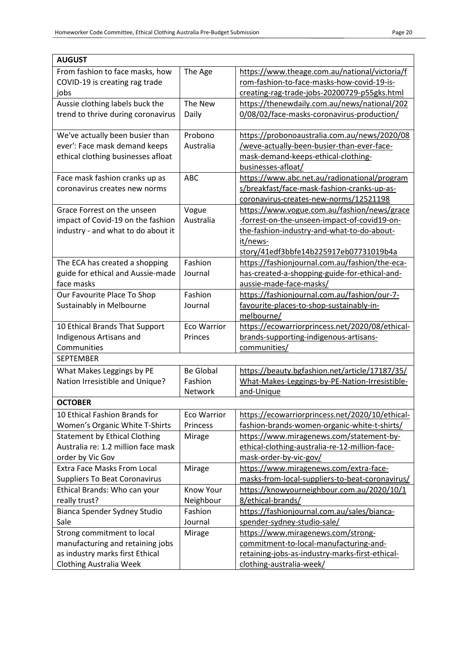| <b>AUGUST</b>                        |                    |                                                 |
|--------------------------------------|--------------------|-------------------------------------------------|
| From fashion to face masks, how      | The Age            | https://www.theage.com.au/national/victoria/f   |
| COVID-19 is creating rag trade       |                    | rom-fashion-to-face-masks-how-covid-19-is-      |
| jobs                                 |                    | creating-rag-trade-jobs-20200729-p55gks.html    |
| Aussie clothing labels buck the      | The New            | https://thenewdaily.com.au/news/national/202    |
| trend to thrive during coronavirus   | Daily              | 0/08/02/face-masks-coronavirus-production/      |
|                                      |                    |                                                 |
| We've actually been busier than      | Probono            | https://probonoaustralia.com.au/news/2020/08    |
| ever': Face mask demand keeps        | Australia          | /weve-actually-been-busier-than-ever-face-      |
| ethical clothing businesses afloat   |                    | mask-demand-keeps-ethical-clothing-             |
|                                      |                    | businesses-afloat/                              |
| Face mask fashion cranks up as       | <b>ABC</b>         | https://www.abc.net.au/radionational/program    |
| coronavirus creates new norms        |                    | s/breakfast/face-mask-fashion-cranks-up-as-     |
|                                      |                    | coronavirus-creates-new-norms/12521198          |
| Grace Forrest on the unseen          | Vogue              | https://www.vogue.com.au/fashion/news/grace     |
| impact of Covid-19 on the fashion    | Australia          | -forrest-on-the-unseen-impact-of-covid19-on-    |
| industry - and what to do about it   |                    | the-fashion-industry-and-what-to-do-about-      |
|                                      |                    | it/news-                                        |
|                                      |                    | story/41edf3bbfe14b225917eb07731019b4a          |
| The ECA has created a shopping       | Fashion            | https://fashionjournal.com.au/fashion/the-eca-  |
| guide for ethical and Aussie-made    | Journal            | has-created-a-shopping-guide-for-ethical-and-   |
| face masks                           |                    | aussie-made-face-masks/                         |
| Our Favourite Place To Shop          | Fashion            | https://fashionjournal.com.au/fashion/our-7-    |
| Sustainably in Melbourne             | Journal            | favourite-places-to-shop-sustainably-in-        |
|                                      |                    | melbourne/                                      |
| 10 Ethical Brands That Support       | <b>Eco Warrior</b> | https://ecowarriorprincess.net/2020/08/ethical- |
| Indigenous Artisans and              | Princes            | brands-supporting-indigenous-artisans-          |
| Communities                          |                    | communities/                                    |
| <b>SEPTEMBER</b>                     |                    |                                                 |
| What Makes Leggings by PE            | <b>Be Global</b>   | https://beauty.bgfashion.net/article/17187/35/  |
| Nation Irresistible and Unique?      | Fashion            | What-Makes-Leggings-by-PE-Nation-Irresistible-  |
|                                      | Network            | and-Unique                                      |
| <b>OCTOBER</b>                       |                    |                                                 |
| 10 Ethical Fashion Brands for        | <b>Eco Warrior</b> | https://ecowarriorprincess.net/2020/10/ethical- |
| Women's Organic White T-Shirts       | Princess           | fashion-brands-women-organic-white-t-shirts/    |
| <b>Statement by Ethical Clothing</b> | Mirage             | https://www.miragenews.com/statement-by-        |
| Australia re: 1.2 million face mask  |                    | ethical-clothing-australia-re-12-million-face-  |
| order by Vic Gov                     |                    | mask-order-by-vic-gov/                          |
| <b>Extra Face Masks From Local</b>   | Mirage             | https://www.miragenews.com/extra-face-          |
| <b>Suppliers To Beat Coronavirus</b> |                    | masks-from-local-suppliers-to-beat-coronavirus/ |
| Ethical Brands: Who can your         | <b>Know Your</b>   | https://knowyourneighbour.com.au/2020/10/1      |
| really trust?                        | Neighbour          | 8/ethical-brands/                               |
| Bianca Spender Sydney Studio         | Fashion            | https://fashionjournal.com.au/sales/bianca-     |
| Sale                                 | Journal            | spender-sydney-studio-sale/                     |
| Strong commitment to local           | Mirage             | https://www.miragenews.com/strong-              |
| manufacturing and retaining jobs     |                    | commitment-to-local-manufacturing-and-          |
| as industry marks first Ethical      |                    | retaining-jobs-as-industry-marks-first-ethical- |
| Clothing Australia Week              |                    | clothing-australia-week/                        |